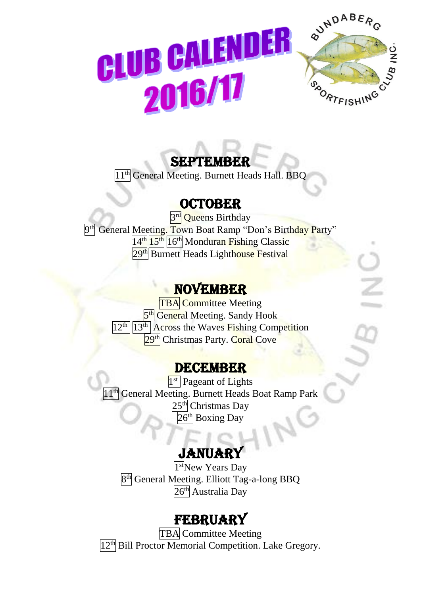

## SEPTEMBER

 $\overline{11^{th}}$  General Meeting. Burnett Heads Hall. BBQ

#### **OCTOBER**

3<sup>rd</sup> Queens Birthday 9<sup>th</sup> General Meeting. Town Boat Ramp "Don's Birthday Party"  $14<sup>th</sup>$  15<sup>th</sup> 16<sup>th</sup> Monduran Fishing Classic 29<sup>th</sup> Burnett Heads Lighthouse Festival

### NOVEMBER

TBA Committee Meeting 5<sup>th</sup> General Meeting. Sandy Hook 12<sup>th</sup> 13<sup>th</sup> Across the Waves Fishing Competition 29<sup>th</sup> Christmas Party. Coral Cove

#### DECEMBER

1<sup>st</sup> Pageant of Lights <sup>11th</sup> General Meeting. Burnett Heads Boat Ramp Park  $25<sup>th</sup>$  Christmas Day 26<sup>th</sup> Boxing Day

# **JANUARY**

ľ

1<sup>st</sup>New Years Day 8<sup>th</sup> General Meeting. Elliott Tag-a-long BBQ 26<sup>th</sup> Australia Day

## **FEBRUARY**

TBA Committee Meeting 12<sup>th</sup> Bill Proctor Memorial Competition. Lake Gregory.